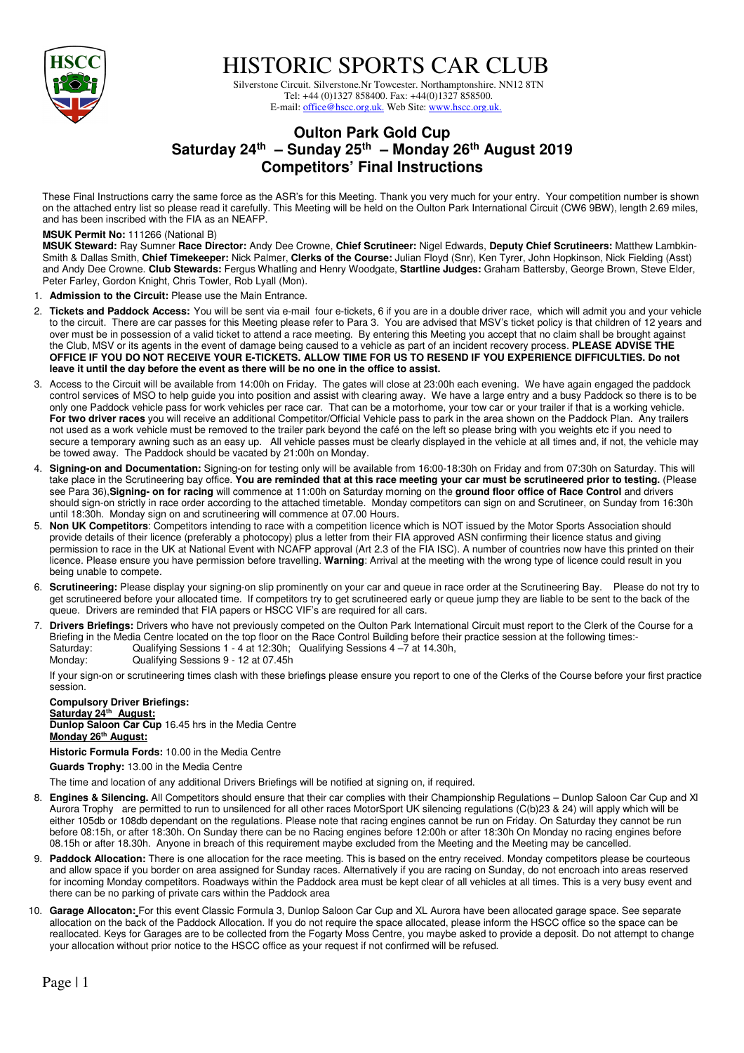

HISTORIC SPORTS CAR CLUB

 Silverstone Circuit. Silverstone.Nr Towcester. Northamptonshire. NN12 8TN Tel: +44 (0)1327 858400. Fax: +44(0)1327 858500. E-mail: office@hscc.org.uk. Web Site: www.hscc.org.uk.

## **Oulton Park Gold Cup Saturday 24th – Sunday 25th – Monday 26th August 2019 Competitors' Final Instructions**

These Final Instructions carry the same force as the ASR's for this Meeting. Thank you very much for your entry. Your competition number is shown on the attached entry list so please read it carefully. This Meeting will be held on the Oulton Park International Circuit (CW6 9BW), length 2.69 miles, and has been inscribed with the FIA as an NEAFP.

## **MSUK Permit No:** 111266 (National B)

**MSUK Steward:** Ray Sumner **Race Director:** Andy Dee Crowne, **Chief Scrutineer:** Nigel Edwards, **Deputy Chief Scrutineers:** Matthew Lambkin-Smith & Dallas Smith, **Chief Timekeeper:** Nick Palmer, **Clerks of the Course:** Julian Floyd (Snr), Ken Tyrer, John Hopkinson, Nick Fielding (Asst) and Andy Dee Crowne. **Club Stewards:** Fergus Whatling and Henry Woodgate, **Startline Judges:** Graham Battersby, George Brown, Steve Elder, Peter Farley, Gordon Knight, Chris Towler, Rob Lyall (Mon).

- 1. **Admission to the Circuit:** Please use the Main Entrance.
- 2. **Tickets and Paddock Access:** You will be sent via e-mail four e-tickets, 6 if you are in a double driver race, which will admit you and your vehicle to the circuit. There are car passes for this Meeting please refer to Para 3. You are advised that MSV's ticket policy is that children of 12 years and over must be in possession of a valid ticket to attend a race meeting. By entering this Meeting you accept that no claim shall be brought against the Club, MSV or its agents in the event of damage being caused to a vehicle as part of an incident recovery process. **PLEASE ADVISE THE OFFICE IF YOU DO NOT RECEIVE YOUR E-TICKETS. ALLOW TIME FOR US TO RESEND IF YOU EXPERIENCE DIFFICULTIES. Do not leave it until the day before the event as there will be no one in the office to assist.**
- 3. Access to the Circuit will be available from 14:00h on Friday. The gates will close at 23:00h each evening. We have again engaged the paddock control services of MSO to help guide you into position and assist with clearing away. We have a large entry and a busy Paddock so there is to be only one Paddock vehicle pass for work vehicles per race car. That can be a motorhome, your tow car or your trailer if that is a working vehicle. **For two driver races** you will receive an additional Competitor/Official Vehicle pass to park in the area shown on the Paddock Plan. Any trailers not used as a work vehicle must be removed to the trailer park beyond the café on the left so please bring with you weights etc if you need to secure a temporary awning such as an easy up. All vehicle passes must be clearly displayed in the vehicle at all times and, if not, the vehicle may be towed away. The Paddock should be vacated by 21:00h on Monday.
- 4. **Signing-on and Documentation:** Signing-on for testing only will be available from 16:00-18:30h on Friday and from 07:30h on Saturday. This will take place in the Scrutineering bay office. **You are reminded that at this race meeting your car must be scrutineered prior to testing.** (Please see Para 36),**Signing- on for racing** will commence at 11:00h on Saturday morning on the **ground floor office of Race Control** and drivers should sign-on strictly in race order according to the attached timetable. Monday competitors can sign on and Scrutineer, on Sunday from 16:30h until 18:30h. Monday sign on and scrutineering will commence at 07.00 Hours.
- 5. **Non UK Competitors**: Competitors intending to race with a competition licence which is NOT issued by the Motor Sports Association should provide details of their licence (preferably a photocopy) plus a letter from their FIA approved ASN confirming their licence status and giving permission to race in the UK at National Event with NCAFP approval (Art 2.3 of the FIA ISC). A number of countries now have this printed on their licence. Please ensure you have permission before travelling. **Warning**: Arrival at the meeting with the wrong type of licence could result in you being unable to compete.
- 6. **Scrutineering:** Please display your signing-on slip prominently on your car and queue in race order at the Scrutineering Bay. Please do not try to get scrutineered before your allocated time. If competitors try to get scrutineered early or queue jump they are liable to be sent to the back of the queue. Drivers are reminded that FIA papers or HSCC VIF's are required for all cars.
- 7. **Drivers Briefings:** Drivers who have not previously competed on the Oulton Park International Circuit must report to the Clerk of the Course for a Briefing in the Media Centre located on the top floor on the Race Control Building before their practice session at the following times:-<br>Saturday: Qualifying Sessions 1 - 4 at 12:30h; Qualifying Sessions 4 - 7 at 14.30h, Qualifying Sessions 1 - 4 at 12:30h; Qualifying Sessions 4 -7 at 14.30h,

Monday: Qualifying Sessions 9 - 12 at 07.45h

If your sign-on or scrutineering times clash with these briefings please ensure you report to one of the Clerks of the Course before your first practice session.

**Compulsory Driver Briefings: Saturday 24th August: Dunlop Saloon Car Cup** 16.45 hrs in the Media Centre **Monday 26th August:** 

**Historic Formula Fords:** 10.00 in the Media Centre

**Guards Trophy:** 13.00 in the Media Centre

The time and location of any additional Drivers Briefings will be notified at signing on, if required.

- 8. **Engines & Silencing.** All Competitors should ensure that their car complies with their Championship Regulations Dunlop Saloon Car Cup and Xl Aurora Trophy are permitted to run to unsilenced for all other races MotorSport UK silencing regulations (C(b)23 & 24) will apply which will be either 105db or 108db dependant on the regulations. Please note that racing engines cannot be run on Friday. On Saturday they cannot be run before 08:15h, or after 18:30h. On Sunday there can be no Racing engines before 12:00h or after 18:30h On Monday no racing engines before 08.15h or after 18.30h. Anyone in breach of this requirement maybe excluded from the Meeting and the Meeting may be cancelled.
- 9. **Paddock Allocation:** There is one allocation for the race meeting. This is based on the entry received. Monday competitors please be courteous and allow space if you border on area assigned for Sunday races. Alternatively if you are racing on Sunday, do not encroach into areas reserved for incoming Monday competitors. Roadways within the Paddock area must be kept clear of all vehicles at all times. This is a very busy event and there can be no parking of private cars within the Paddock area
- 10. **Garage Allocaton:** For this event Classic Formula 3, Dunlop Saloon Car Cup and XL Aurora have been allocated garage space. See separate allocation on the back of the Paddock Allocation. If you do not require the space allocated, please inform the HSCC office so the space can be reallocated. Keys for Garages are to be collected from the Fogarty Moss Centre, you maybe asked to provide a deposit. Do not attempt to change your allocation without prior notice to the HSCC office as your request if not confirmed will be refused.

Page | 1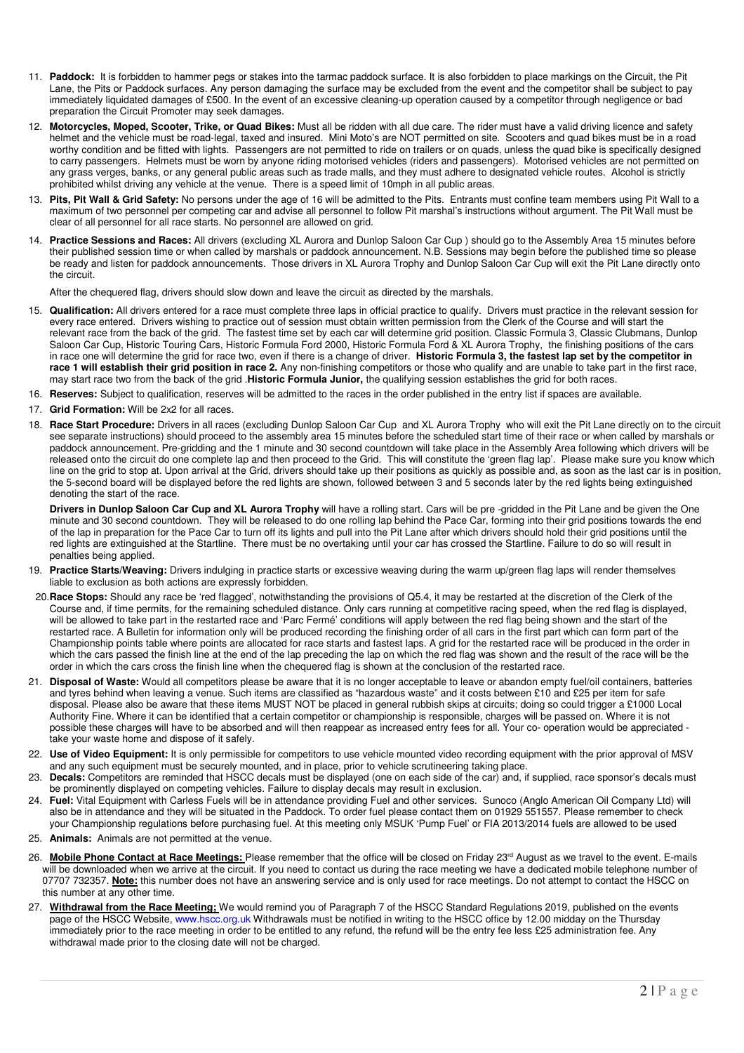- 11. **Paddock:** It is forbidden to hammer pegs or stakes into the tarmac paddock surface. It is also forbidden to place markings on the Circuit, the Pit Lane, the Pits or Paddock surfaces. Any person damaging the surface may be excluded from the event and the competitor shall be subject to pay immediately liquidated damages of £500. In the event of an excessive cleaning-up operation caused by a competitor through negligence or bad preparation the Circuit Promoter may seek damages.
- 12. **Motorcycles, Moped, Scooter, Trike, or Quad Bikes:** Must all be ridden with all due care. The rider must have a valid driving licence and safety helmet and the vehicle must be road-legal, taxed and insured. Mini Moto's are NOT permitted on site. Scooters and quad bikes must be in a road worthy condition and be fitted with lights. Passengers are not permitted to ride on trailers or on quads, unless the quad bike is specifically designed to carry passengers. Helmets must be worn by anyone riding motorised vehicles (riders and passengers). Motorised vehicles are not permitted on any grass verges, banks, or any general public areas such as trade malls, and they must adhere to designated vehicle routes. Alcohol is strictly prohibited whilst driving any vehicle at the venue. There is a speed limit of 10mph in all public areas.
- 13. **Pits, Pit Wall & Grid Safety:** No persons under the age of 16 will be admitted to the Pits. Entrants must confine team members using Pit Wall to a maximum of two personnel per competing car and advise all personnel to follow Pit marshal's instructions without argument. The Pit Wall must be clear of all personnel for all race starts. No personnel are allowed on grid.
- 14. **Practice Sessions and Races:** All drivers (excluding XL Aurora and Dunlop Saloon Car Cup ) should go to the Assembly Area 15 minutes before their published session time or when called by marshals or paddock announcement. N.B. Sessions may begin before the published time so please be ready and listen for paddock announcements. Those drivers in XL Aurora Trophy and Dunlop Saloon Car Cup will exit the Pit Lane directly onto the circuit.

After the chequered flag, drivers should slow down and leave the circuit as directed by the marshals.

- 15. **Qualification:** All drivers entered for a race must complete three laps in official practice to qualify. Drivers must practice in the relevant session for every race entered. Drivers wishing to practice out of session must obtain written permission from the Clerk of the Course and will start the relevant race from the back of the grid.The fastest time set by each car will determine grid position. Classic Formula 3, Classic Clubmans, Dunlop Saloon Car Cup, Historic Touring Cars, Historic Formula Ford 2000, Historic Formula Ford & XL Aurora Trophy, the finishing positions of the cars in race one will determine the grid for race two, even if there is a change of driver. **Historic Formula 3, the fastest lap set by the competitor in**  race 1 will establish their grid position in race 2. Any non-finishing competitors or those who qualify and are unable to take part in the first race, may start race two from the back of the grid .**Historic Formula Junior,** the qualifying session establishes the grid for both races.
- 16. **Reserves:** Subject to qualification, reserves will be admitted to the races in the order published in the entry list if spaces are available.
- 17. **Grid Formation:** Will be 2x2 for all races.
- 18. **Race Start Procedure:** Drivers in all races (excluding Dunlop Saloon Car Cup and XL Aurora Trophy who will exit the Pit Lane directly on to the circuit see separate instructions) should proceed to the assembly area 15 minutes before the scheduled start time of their race or when called by marshals or paddock announcement. Pre-gridding and the 1 minute and 30 second countdown will take place in the Assembly Area following which drivers will be released onto the circuit do one complete lap and then proceed to the Grid. This will constitute the 'green flag lap'. Please make sure you know which line on the grid to stop at. Upon arrival at the Grid, drivers should take up their positions as quickly as possible and, as soon as the last car is in position, the 5-second board will be displayed before the red lights are shown, followed between 3 and 5 seconds later by the red lights being extinguished denoting the start of the race.

**Drivers in Dunlop Saloon Car Cup and XL Aurora Trophy** will have a rolling start. Cars will be pre -gridded in the Pit Lane and be given the One minute and 30 second countdown. They will be released to do one rolling lap behind the Pace Car, forming into their grid positions towards the end of the lap in preparation for the Pace Car to turn off its lights and pull into the Pit Lane after which drivers should hold their grid positions until the red lights are extinguished at the Startline. There must be no overtaking until your car has crossed the Startline. Failure to do so will result in penalties being applied.

- 19. **Practice Starts/Weaving:** Drivers indulging in practice starts or excessive weaving during the warm up/green flag laps will render themselves liable to exclusion as both actions are expressly forbidden.
- 20.**Race Stops:** Should any race be 'red flagged', notwithstanding the provisions of Q5.4, it may be restarted at the discretion of the Clerk of the Course and, if time permits, for the remaining scheduled distance. Only cars running at competitive racing speed, when the red flag is displayed, will be allowed to take part in the restarted race and 'Parc Fermé' conditions will apply between the red flag being shown and the start of the restarted race. A Bulletin for information only will be produced recording the finishing order of all cars in the first part which can form part of the Championship points table where points are allocated for race starts and fastest laps. A grid for the restarted race will be produced in the order in which the cars passed the finish line at the end of the lap preceding the lap on which the red flag was shown and the result of the race will be the order in which the cars cross the finish line when the chequered flag is shown at the conclusion of the restarted race.
- 21. **Disposal of Waste:** Would all competitors please be aware that it is no longer acceptable to leave or abandon empty fuel/oil containers, batteries and tyres behind when leaving a venue. Such items are classified as "hazardous waste" and it costs between £10 and £25 per item for safe disposal. Please also be aware that these items MUST NOT be placed in general rubbish skips at circuits; doing so could trigger a £1000 Local Authority Fine. Where it can be identified that a certain competitor or championship is responsible, charges will be passed on. Where it is not possible these charges will have to be absorbed and will then reappear as increased entry fees for all. Your co- operation would be appreciated take your waste home and dispose of it safely.
- 22. **Use of Video Equipment:** It is only permissible for competitors to use vehicle mounted video recording equipment with the prior approval of MSV and any such equipment must be securely mounted, and in place, prior to vehicle scrutineering taking place.
- 23. **Decals:** Competitors are reminded that HSCC decals must be displayed (one on each side of the car) and, if supplied, race sponsor's decals must be prominently displayed on competing vehicles. Failure to display decals may result in exclusion.
- 24. **Fuel:** Vital Equipment with Carless Fuels will be in attendance providing Fuel and other services. Sunoco (Anglo American Oil Company Ltd) will also be in attendance and they will be situated in the Paddock. To order fuel please contact them on 01929 551557. Please remember to check your Championship regulations before purchasing fuel. At this meeting only MSUK 'Pump Fuel' or FIA 2013/2014 fuels are allowed to be used
- 25. **Animals:** Animals are not permitted at the venue.
- 26. Mobile Phone Contact at Race Meetings: Please remember that the office will be closed on Friday 23<sup>rd</sup> August as we travel to the event. E-mails will be downloaded when we arrive at the circuit. If you need to contact us during the race meeting we have a dedicated mobile telephone number of 07707 732357. Note: this number does not have an answering service and is only used for race meetings. Do not attempt to contact the HSCC on this number at any other time.
- 27. **Withdrawal from the Race Meeting;** We would remind you of Paragraph 7 of the HSCC Standard Regulations 2019, published on the events page of the HSCC Website, www.hscc.org.uk Withdrawals must be notified in writing to the HSCC office by 12.00 midday on the Thursday immediately prior to the race meeting in order to be entitled to any refund, the refund will be the entry fee less £25 administration fee. Any withdrawal made prior to the closing date will not be charged.